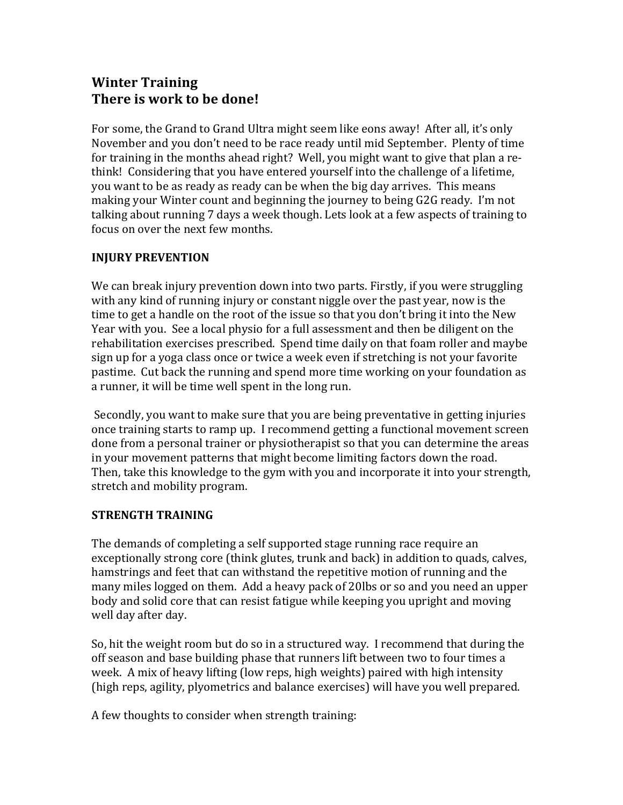# **Winter Training There is work to be done!**

For some, the Grand to Grand Ultra might seem like eons away! After all, it's only November and you don't need to be race ready until mid September. Plenty of time for training in the months ahead right? Well, you might want to give that plan a rethink! Considering that you have entered yourself into the challenge of a lifetime, you want to be as ready as ready can be when the big day arrives. This means making your Winter count and beginning the journey to being  $G2G$  ready. I'm not talking about running 7 days a week though. Lets look at a few aspects of training to focus on over the next few months.

## **INJURY PREVENTION**

We can break injury prevention down into two parts. Firstly, if you were struggling with any kind of running injury or constant niggle over the past year, now is the time to get a handle on the root of the issue so that you don't bring it into the New Year with you. See a local physio for a full assessment and then be diligent on the rehabilitation exercises prescribed. Spend time daily on that foam roller and maybe sign up for a yoga class once or twice a week even if stretching is not your favorite pastime. Cut back the running and spend more time working on your foundation as a runner, it will be time well spent in the long run.

Secondly, you want to make sure that you are being preventative in getting injuries once training starts to ramp up. I recommend getting a functional movement screen done from a personal trainer or physiotherapist so that you can determine the areas in your movement patterns that might become limiting factors down the road. Then, take this knowledge to the gym with you and incorporate it into your strength, stretch and mobility program.

## **STRENGTH TRAINING**

The demands of completing a self supported stage running race require an exceptionally strong core (think glutes, trunk and back) in addition to quads, calves, hamstrings and feet that can withstand the repetitive motion of running and the many miles logged on them. Add a heavy pack of 20lbs or so and you need an upper body and solid core that can resist fatigue while keeping you upright and moving well day after day.

So, hit the weight room but do so in a structured way. I recommend that during the off season and base building phase that runners lift between two to four times a week. A mix of heavy lifting (low reps, high weights) paired with high intensity (high reps, agility, plyometrics and balance exercises) will have you well prepared.

A few thoughts to consider when strength training: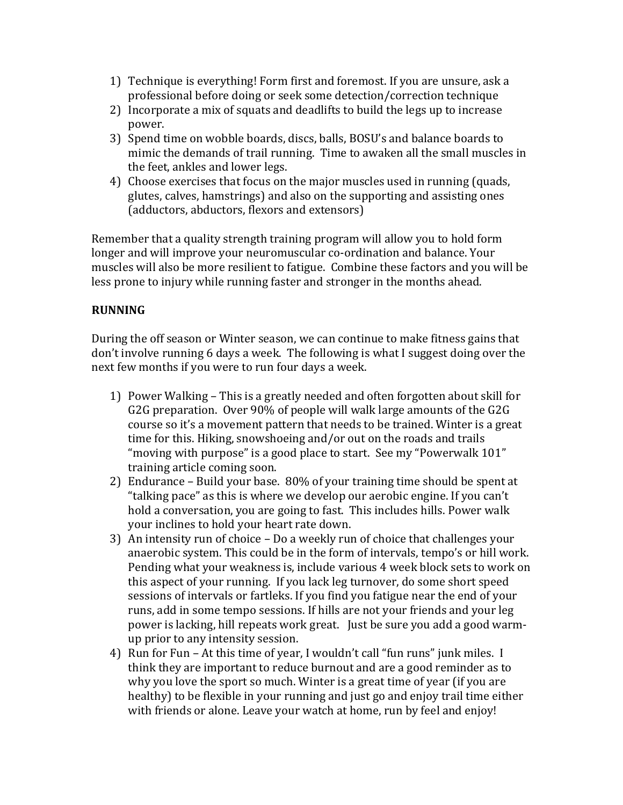- 1) Technique is everything! Form first and foremost. If you are unsure, ask a professional before doing or seek some detection/correction technique
- 2) Incorporate a mix of squats and deadlifts to build the legs up to increase power.
- 3) Spend time on wobble boards, discs, balls, BOSU's and balance boards to mimic the demands of trail running. Time to awaken all the small muscles in the feet, ankles and lower legs.
- 4) Choose exercises that focus on the major muscles used in running (quads, glutes, calves, hamstrings) and also on the supporting and assisting ones (adductors, abductors, flexors and extensors)

Remember that a quality strength training program will allow you to hold form longer and will improve your neuromuscular co-ordination and balance. Your muscles will also be more resilient to fatigue. Combine these factors and you will be less prone to injury while running faster and stronger in the months ahead.

## **RUNNING**

During the off season or Winter season, we can continue to make fitness gains that don't involve running 6 days a week. The following is what I suggest doing over the next few months if you were to run four days a week.

- 1) Power Walking This is a greatly needed and often forgotten about skill for G2G preparation. Over 90% of people will walk large amounts of the G2G course so it's a movement pattern that needs to be trained. Winter is a great time for this. Hiking, snowshoeing and/or out on the roads and trails "moving with purpose" is a good place to start. See my "Powerwalk 101" training article coming soon.
- 2) Endurance Build your base.  $80\%$  of your training time should be spent at "talking pace" as this is where we develop our aerobic engine. If you can't hold a conversation, you are going to fast. This includes hills. Power walk your inclines to hold your heart rate down.
- 3) An intensity run of choice  $-$  Do a weekly run of choice that challenges your anaerobic system. This could be in the form of intervals, tempo's or hill work. Pending what your weakness is, include various 4 week block sets to work on this aspect of your running. If you lack leg turnover, do some short speed sessions of intervals or fartleks. If you find you fatigue near the end of your runs, add in some tempo sessions. If hills are not your friends and your leg power is lacking, hill repeats work great. Just be sure you add a good warmup prior to any intensity session.
- 4) Run for Fun At this time of year, I wouldn't call "fun runs" junk miles. I think they are important to reduce burnout and are a good reminder as to why you love the sport so much. Winter is a great time of year (if you are healthy) to be flexible in your running and just go and enjoy trail time either with friends or alone. Leave your watch at home, run by feel and enjoy!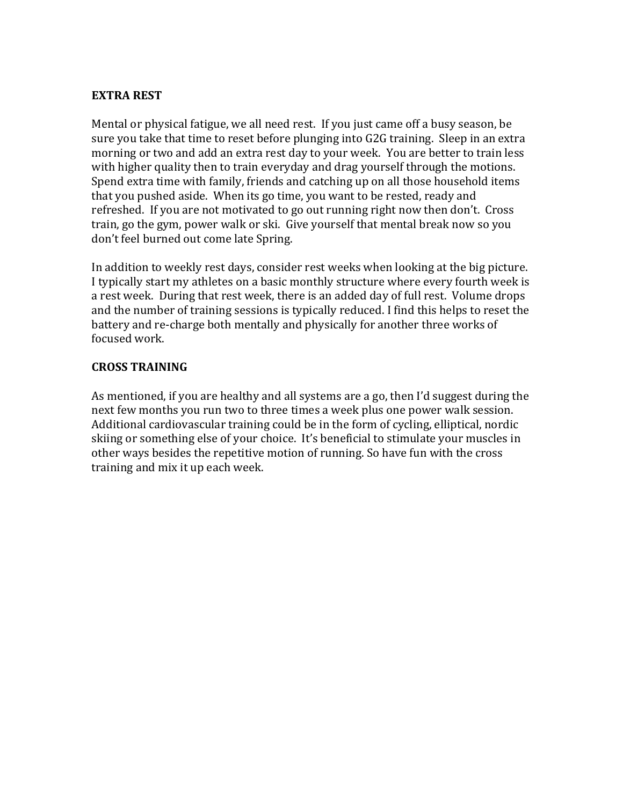#### **EXTRA REST**

Mental or physical fatigue, we all need rest. If you just came off a busy season, be sure you take that time to reset before plunging into G2G training. Sleep in an extra morning or two and add an extra rest day to your week. You are better to train less with higher quality then to train everyday and drag yourself through the motions. Spend extra time with family, friends and catching up on all those household items that you pushed aside. When its go time, you want to be rested, ready and refreshed. If you are not motivated to go out running right now then don't. Cross train, go the gym, power walk or ski. Give yourself that mental break now so you don't feel burned out come late Spring.

In addition to weekly rest days, consider rest weeks when looking at the big picture. I typically start my athletes on a basic monthly structure where every fourth week is a rest week. During that rest week, there is an added day of full rest. Volume drops and the number of training sessions is typically reduced. I find this helps to reset the battery and re-charge both mentally and physically for another three works of focused work.

### **CROSS TRAINING**

As mentioned, if you are healthy and all systems are a go, then I'd suggest during the next few months you run two to three times a week plus one power walk session. Additional cardiovascular training could be in the form of cycling, elliptical, nordic skiing or something else of your choice. It's beneficial to stimulate your muscles in other ways besides the repetitive motion of running. So have fun with the cross training and mix it up each week.